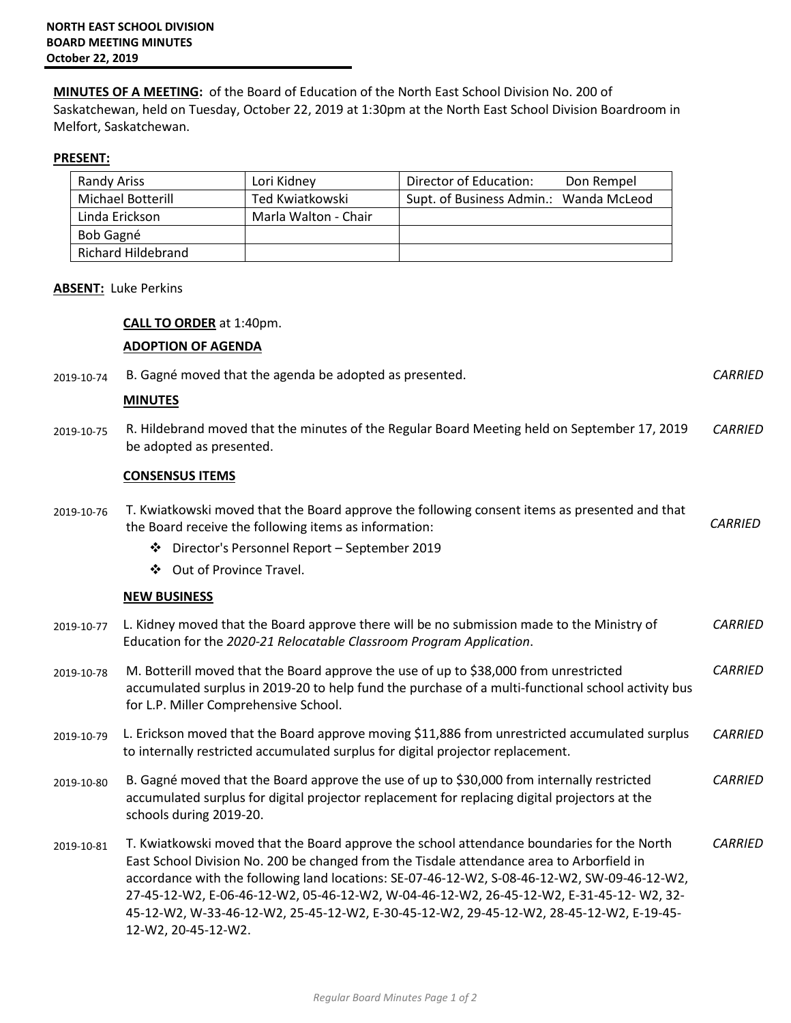**MINUTES OF A MEETING:** of the Board of Education of the North East School Division No. 200 of Saskatchewan, held on Tuesday, October 22, 2019 at 1:30pm at the North East School Division Boardroom in Melfort, Saskatchewan.

## **PRESENT:**

| <b>Randy Ariss</b>       | Lori Kidney          | Director of Education:                 | Don Rempel |
|--------------------------|----------------------|----------------------------------------|------------|
| <b>Michael Botterill</b> | Ted Kwiatkowski      | Supt. of Business Admin.: Wanda McLeod |            |
| Linda Erickson           | Marla Walton - Chair |                                        |            |
| Bob Gagné                |                      |                                        |            |
| Richard Hildebrand       |                      |                                        |            |

#### **ABSENT:** Luke Perkins

#### **CALL TO ORDER** at 1:40pm.

## **ADOPTION OF AGENDA**

|            | , , , , , , , , , , , <u>, , , ,</u> , ,                                                                                                                                                                                                                                                                                                                                                                                                                                                             |                |
|------------|------------------------------------------------------------------------------------------------------------------------------------------------------------------------------------------------------------------------------------------------------------------------------------------------------------------------------------------------------------------------------------------------------------------------------------------------------------------------------------------------------|----------------|
| 2019-10-74 | B. Gagné moved that the agenda be adopted as presented.                                                                                                                                                                                                                                                                                                                                                                                                                                              | <b>CARRIED</b> |
|            | <b>MINUTES</b>                                                                                                                                                                                                                                                                                                                                                                                                                                                                                       |                |
| 2019-10-75 | R. Hildebrand moved that the minutes of the Regular Board Meeting held on September 17, 2019<br>be adopted as presented.                                                                                                                                                                                                                                                                                                                                                                             | <b>CARRIED</b> |
|            | <b>CONSENSUS ITEMS</b>                                                                                                                                                                                                                                                                                                                                                                                                                                                                               |                |
| 2019-10-76 | T. Kwiatkowski moved that the Board approve the following consent items as presented and that<br>the Board receive the following items as information:                                                                                                                                                                                                                                                                                                                                               | <b>CARRIED</b> |
|            | ❖ Director's Personnel Report - September 2019                                                                                                                                                                                                                                                                                                                                                                                                                                                       |                |
|            | Out of Province Travel.<br>❖                                                                                                                                                                                                                                                                                                                                                                                                                                                                         |                |
|            | <b>NEW BUSINESS</b>                                                                                                                                                                                                                                                                                                                                                                                                                                                                                  |                |
| 2019-10-77 | L. Kidney moved that the Board approve there will be no submission made to the Ministry of<br>Education for the 2020-21 Relocatable Classroom Program Application.                                                                                                                                                                                                                                                                                                                                   | <b>CARRIED</b> |
| 2019-10-78 | M. Botterill moved that the Board approve the use of up to \$38,000 from unrestricted<br>accumulated surplus in 2019-20 to help fund the purchase of a multi-functional school activity bus<br>for L.P. Miller Comprehensive School.                                                                                                                                                                                                                                                                 | <b>CARRIED</b> |
| 2019-10-79 | L. Erickson moved that the Board approve moving \$11,886 from unrestricted accumulated surplus<br>to internally restricted accumulated surplus for digital projector replacement.                                                                                                                                                                                                                                                                                                                    | <b>CARRIED</b> |
| 2019-10-80 | B. Gagné moved that the Board approve the use of up to \$30,000 from internally restricted<br>accumulated surplus for digital projector replacement for replacing digital projectors at the<br>schools during 2019-20.                                                                                                                                                                                                                                                                               | <b>CARRIED</b> |
| 2019-10-81 | T. Kwiatkowski moved that the Board approve the school attendance boundaries for the North<br>East School Division No. 200 be changed from the Tisdale attendance area to Arborfield in<br>accordance with the following land locations: SE-07-46-12-W2, S-08-46-12-W2, SW-09-46-12-W2,<br>27-45-12-W2, E-06-46-12-W2, 05-46-12-W2, W-04-46-12-W2, 26-45-12-W2, E-31-45-12-W2, 32-<br>45-12-W2, W-33-46-12-W2, 25-45-12-W2, E-30-45-12-W2, 29-45-12-W2, 28-45-12-W2, E-19-45-<br>12-W2, 20-45-12-W2. | <b>CARRIED</b> |